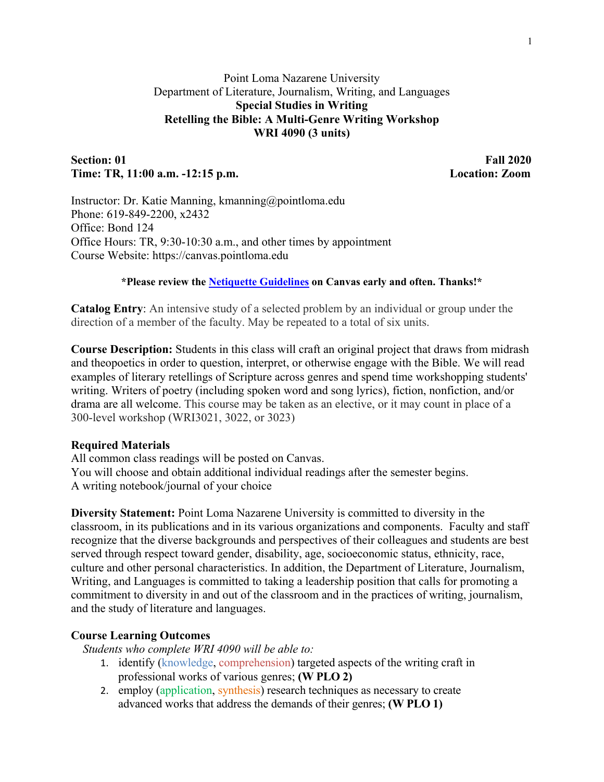# Point Loma Nazarene University Department of Literature, Journalism, Writing, and Languages **Special Studies in Writing Retelling the Bible: A Multi-Genre Writing Workshop WRI 4090 (3 units)**

# **Section: 01 Fall 2020 Time: TR, 11:00 a.m. -12:15 p.m. Location: Zoom**

Instructor: Dr. Katie Manning, kmanning@pointloma.edu Phone: 619-849-2200, x2432 Office: Bond 124 Office Hours: TR, 9:30-10:30 a.m., and other times by appointment Course Website: https://canvas.pointloma.edu

**\*Please review the [Netiquette Guidelines](https://canvas.pointloma.edu/courses/52474/pages/netiquette-guidelines) on Canvas early and often. Thanks!\***

**Catalog Entry**: An intensive study of a selected problem by an individual or group under the direction of a member of the faculty. May be repeated to a total of six units.

**Course Description:** Students in this class will craft an original project that draws from midrash and theopoetics in order to question, interpret, or otherwise engage with the Bible. We will read examples of literary retellings of Scripture across genres and spend time workshopping students' writing. Writers of poetry (including spoken word and song lyrics), fiction, nonfiction, and/or drama are all welcome. This course may be taken as an elective, or it may count in place of a 300-level workshop (WRI3021, 3022, or 3023)

## **Required Materials**

All common class readings will be posted on Canvas. You will choose and obtain additional individual readings after the semester begins. A writing notebook/journal of your choice

**Diversity Statement:** Point Loma Nazarene University is committed to diversity in the classroom, in its publications and in its various organizations and components. Faculty and staff recognize that the diverse backgrounds and perspectives of their colleagues and students are best served through respect toward gender, disability, age, socioeconomic status, ethnicity, race, culture and other personal characteristics. In addition, the Department of Literature, Journalism, Writing, and Languages is committed to taking a leadership position that calls for promoting a commitment to diversity in and out of the classroom and in the practices of writing, journalism, and the study of literature and languages.

## **Course Learning Outcomes**

*Students who complete WRI 4090 will be able to:*

- 1. identify (knowledge, comprehension) targeted aspects of the writing craft in professional works of various genres; **(W PLO 2)**
- 2. employ (application, synthesis) research techniques as necessary to create advanced works that address the demands of their genres; **(W PLO 1)**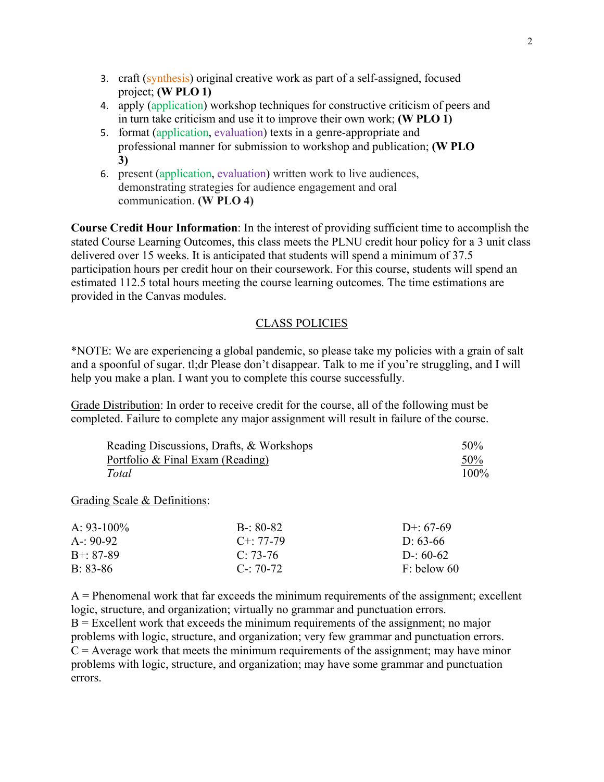- 3. craft (synthesis) original creative work as part of a self-assigned, focused project; **(W PLO 1)**
- 4. apply (application) workshop techniques for constructive criticism of peers and in turn take criticism and use it to improve their own work; **(W PLO 1)**
- 5. format (application, evaluation) texts in a genre-appropriate and professional manner for submission to workshop and publication; **(W PLO 3)**
- 6. present (application, evaluation) written work to live audiences, demonstrating strategies for audience engagement and oral communication. **(W PLO 4)**

**Course Credit Hour Information**: In the interest of providing sufficient time to accomplish the stated Course Learning Outcomes, this class meets the PLNU credit hour policy for a 3 unit class delivered over 15 weeks. It is anticipated that students will spend a minimum of 37.5 participation hours per credit hour on their coursework. For this course, students will spend an estimated 112.5 total hours meeting the course learning outcomes. The time estimations are provided in the Canvas modules.

### CLASS POLICIES

\*NOTE: We are experiencing a global pandemic, so please take my policies with a grain of salt and a spoonful of sugar. tl;dr Please don't disappear. Talk to me if you're struggling, and I will help you make a plan. I want you to complete this course successfully.

Grade Distribution: In order to receive credit for the course, all of the following must be completed. Failure to complete any major assignment will result in failure of the course.

| Reading Discussions, Drafts, & Workshops | 50%     |
|------------------------------------------|---------|
| Portfolio & Final Exam (Reading)         | 50%     |
| Total                                    | $100\%$ |

Grading Scale & Definitions:

| A: $93-100\%$   | $B - 80 - 82$     | D+: $67-69$   |
|-----------------|-------------------|---------------|
| A-: 90-92       | $C_{\pm}$ : 77-79 | D: $63-66$    |
| $B^{+}$ : 87-89 | $C: 73-76$        | D-: $60-62$   |
| $B: 83-86$      | $C = 70-72$       | $F:$ below 60 |

 $A =$  Phenomenal work that far exceeds the minimum requirements of the assignment; excellent logic, structure, and organization; virtually no grammar and punctuation errors.

 $B =$  Excellent work that exceeds the minimum requirements of the assignment; no major problems with logic, structure, and organization; very few grammar and punctuation errors.  $C =$  Average work that meets the minimum requirements of the assignment; may have minor problems with logic, structure, and organization; may have some grammar and punctuation errors.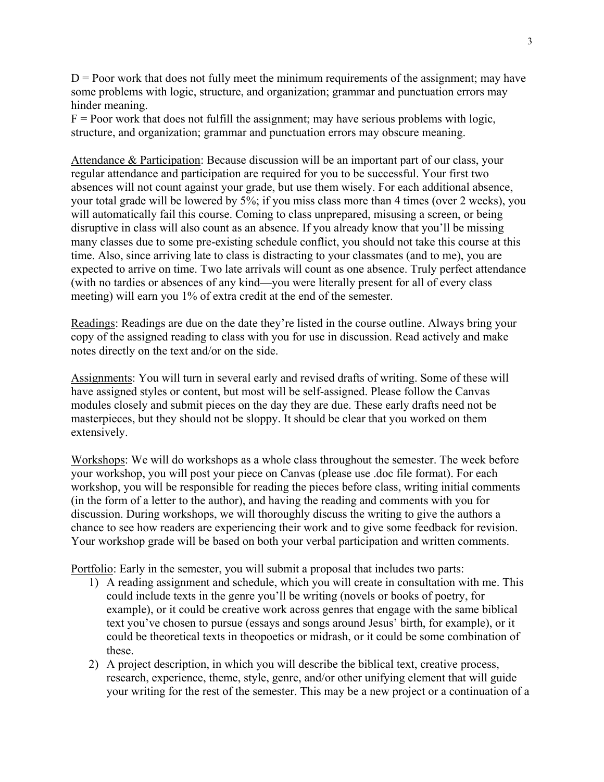$D =$  Poor work that does not fully meet the minimum requirements of the assignment; may have some problems with logic, structure, and organization; grammar and punctuation errors may hinder meaning.

 $F =$  Poor work that does not fulfill the assignment; may have serious problems with logic, structure, and organization; grammar and punctuation errors may obscure meaning.

Attendance & Participation: Because discussion will be an important part of our class, your regular attendance and participation are required for you to be successful. Your first two absences will not count against your grade, but use them wisely. For each additional absence, your total grade will be lowered by 5%; if you miss class more than 4 times (over 2 weeks), you will automatically fail this course. Coming to class unprepared, misusing a screen, or being disruptive in class will also count as an absence. If you already know that you'll be missing many classes due to some pre-existing schedule conflict, you should not take this course at this time. Also, since arriving late to class is distracting to your classmates (and to me), you are expected to arrive on time. Two late arrivals will count as one absence. Truly perfect attendance (with no tardies or absences of any kind—you were literally present for all of every class meeting) will earn you 1% of extra credit at the end of the semester.

Readings: Readings are due on the date they're listed in the course outline. Always bring your copy of the assigned reading to class with you for use in discussion. Read actively and make notes directly on the text and/or on the side.

Assignments: You will turn in several early and revised drafts of writing. Some of these will have assigned styles or content, but most will be self-assigned. Please follow the Canvas modules closely and submit pieces on the day they are due. These early drafts need not be masterpieces, but they should not be sloppy. It should be clear that you worked on them extensively.

Workshops: We will do workshops as a whole class throughout the semester. The week before your workshop, you will post your piece on Canvas (please use .doc file format). For each workshop, you will be responsible for reading the pieces before class, writing initial comments (in the form of a letter to the author), and having the reading and comments with you for discussion. During workshops, we will thoroughly discuss the writing to give the authors a chance to see how readers are experiencing their work and to give some feedback for revision. Your workshop grade will be based on both your verbal participation and written comments.

Portfolio: Early in the semester, you will submit a proposal that includes two parts:

- 1) A reading assignment and schedule, which you will create in consultation with me. This could include texts in the genre you'll be writing (novels or books of poetry, for example), or it could be creative work across genres that engage with the same biblical text you've chosen to pursue (essays and songs around Jesus' birth, for example), or it could be theoretical texts in theopoetics or midrash, or it could be some combination of these.
- 2) A project description, in which you will describe the biblical text, creative process, research, experience, theme, style, genre, and/or other unifying element that will guide your writing for the rest of the semester. This may be a new project or a continuation of a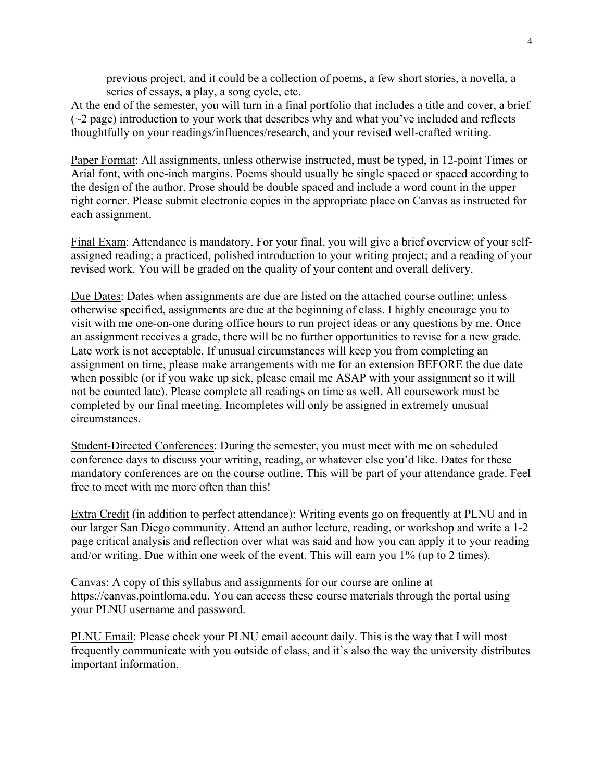previous project, and it could be a collection of poems, a few short stories, a novella, a series of essays, a play, a song cycle, etc.

At the end of the semester, you will turn in a final portfolio that includes a title and cover, a brief  $(\sim 2$  page) introduction to your work that describes why and what you've included and reflects thoughtfully on your readings/influences/research, and your revised well-crafted writing.

Paper Format: All assignments, unless otherwise instructed, must be typed, in 12-point Times or Arial font, with one-inch margins. Poems should usually be single spaced or spaced according to the design of the author. Prose should be double spaced and include a word count in the upper right corner. Please submit electronic copies in the appropriate place on Canvas as instructed for each assignment.

Final Exam: Attendance is mandatory. For your final, you will give a brief overview of your selfassigned reading; a practiced, polished introduction to your writing project; and a reading of your revised work. You will be graded on the quality of your content and overall delivery.

Due Dates: Dates when assignments are due are listed on the attached course outline; unless otherwise specified, assignments are due at the beginning of class. I highly encourage you to visit with me one-on-one during office hours to run project ideas or any questions by me. Once an assignment receives a grade, there will be no further opportunities to revise for a new grade. Late work is not acceptable. If unusual circumstances will keep you from completing an assignment on time, please make arrangements with me for an extension BEFORE the due date when possible (or if you wake up sick, please email me ASAP with your assignment so it will not be counted late). Please complete all readings on time as well. All coursework must be completed by our final meeting. Incompletes will only be assigned in extremely unusual circumstances.

Student-Directed Conferences: During the semester, you must meet with me on scheduled conference days to discuss your writing, reading, or whatever else you'd like. Dates for these mandatory conferences are on the course outline. This will be part of your attendance grade. Feel free to meet with me more often than this!

Extra Credit (in addition to perfect attendance): Writing events go on frequently at PLNU and in our larger San Diego community. Attend an author lecture, reading, or workshop and write a 1-2 page critical analysis and reflection over what was said and how you can apply it to your reading and/or writing. Due within one week of the event. This will earn you 1% (up to 2 times).

Canvas: A copy of this syllabus and assignments for our course are online at https://canvas.pointloma.edu. You can access these course materials through the portal using your PLNU username and password.

PLNU Email: Please check your PLNU email account daily. This is the way that I will most frequently communicate with you outside of class, and it's also the way the university distributes important information.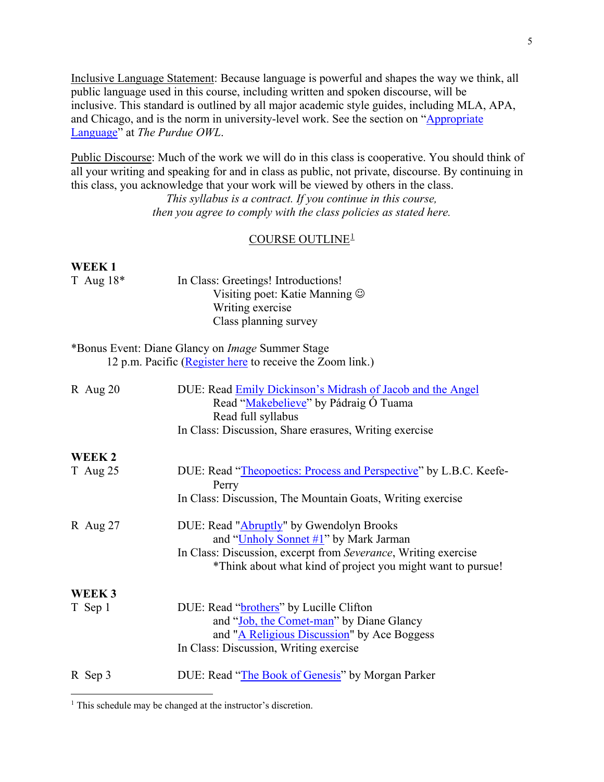Inclusive Language Statement: Because language is powerful and shapes the way we think, all public language used in this course, including written and spoken discourse, will be inclusive. This standard is outlined by all major academic style guides, including MLA, APA, and Chicago, and is the norm in university-level work. See the section on ["Appropriate](https://owl.purdue.edu/owl/general_writing/academic_writing/using_appropriate_language/index.html)  [Language"](https://owl.purdue.edu/owl/general_writing/academic_writing/using_appropriate_language/index.html) at *The Purdue OWL*.

Public Discourse: Much of the work we will do in this class is cooperative. You should think of all your writing and speaking for and in class as public, not private, discourse. By continuing in this class, you acknowledge that your work will be viewed by others in the class.

> *This syllabus is a contract. If you continue in this course, then you agree to comply with the class policies as stated here.*

# COURSE OUTLINE[1](#page-4-0)

### **WEEK 1**

 $\overline{a}$ 

| T Aug $18*$       | In Class: Greetings! Introductions!                               |
|-------------------|-------------------------------------------------------------------|
|                   | Visiting poet: Katie Manning $\odot$                              |
|                   | Writing exercise                                                  |
|                   | Class planning survey                                             |
|                   | *Bonus Event: Diane Glancy on <i>Image</i> Summer Stage           |
|                   |                                                                   |
|                   | 12 p.m. Pacific (Register here to receive the Zoom link.)         |
| R Aug $20$        | DUE: Read Emily Dickinson's Midrash of Jacob and the Angel        |
|                   | Read "Makebelieve" by Pádraig O Tuama                             |
|                   | Read full syllabus                                                |
|                   | In Class: Discussion, Share erasures, Writing exercise            |
| WEEK 2            |                                                                   |
| $T$ Aug 25        | DUE: Read "Theopoetics: Process and Perspective" by L.B.C. Keefe- |
|                   | Perry                                                             |
|                   | In Class: Discussion, The Mountain Goats, Writing exercise        |
|                   |                                                                   |
| R Aug $27$        | DUE: Read "Abruptly" by Gwendolyn Brooks                          |
|                   | and " <i>Unholy Sonnet</i> $#1$ " by Mark Jarman                  |
|                   | In Class: Discussion, excerpt from Severance, Writing exercise    |
|                   | *Think about what kind of project you might want to pursue!       |
| WEEK <sub>3</sub> |                                                                   |
|                   | DUE: Read "brothers" by Lucille Clifton                           |
| T Sep 1           | and "Job, the Comet-man" by Diane Glancy                          |
|                   |                                                                   |
|                   | and "A Religious Discussion" by Ace Boggess                       |
|                   | In Class: Discussion, Writing exercise                            |
| R Sep 3           | DUE: Read "The Book of Genesis" by Morgan Parker                  |

<span id="page-4-0"></span><sup>&</sup>lt;sup>1</sup> This schedule may be changed at the instructor's discretion.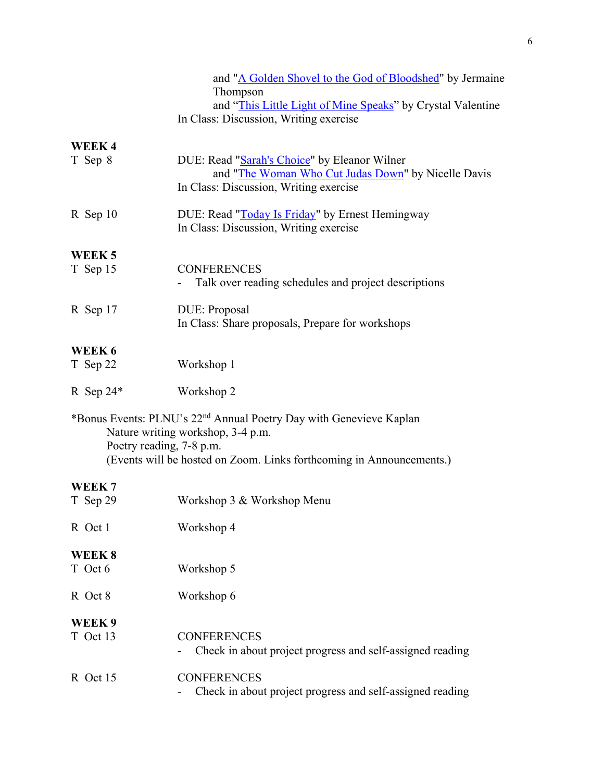|                               | and "A Golden Shovel to the God of Bloodshed" by Jermaine<br>Thompson<br>and "This Little Light of Mine Speaks" by Crystal Valentine<br>In Class: Discussion, Writing exercise              |
|-------------------------------|---------------------------------------------------------------------------------------------------------------------------------------------------------------------------------------------|
| WEEK4<br>T Sep 8              | DUE: Read "Sarah's Choice" by Eleanor Wilner<br>and "The Woman Who Cut Judas Down" by Nicelle Davis<br>In Class: Discussion, Writing exercise                                               |
| R Sep 10                      | DUE: Read "Today Is Friday" by Ernest Hemingway<br>In Class: Discussion, Writing exercise                                                                                                   |
| WEEK <sub>5</sub><br>T Sep 15 | <b>CONFERENCES</b><br>Talk over reading schedules and project descriptions                                                                                                                  |
| R Sep 17                      | DUE: Proposal<br>In Class: Share proposals, Prepare for workshops                                                                                                                           |
| WEEK 6<br>T Sep 22            | Workshop 1                                                                                                                                                                                  |
| R Sep $24*$                   | Workshop 2                                                                                                                                                                                  |
| Poetry reading, 7-8 p.m.      | *Bonus Events: PLNU's 22 <sup>nd</sup> Annual Poetry Day with Genevieve Kaplan<br>Nature writing workshop, 3-4 p.m.<br>(Events will be hosted on Zoom. Links forthcoming in Announcements.) |
| WEEK <sub>7</sub><br>T Sep 29 | Workshop 3 & Workshop Menu                                                                                                                                                                  |
| R Oct 1                       | Workshop 4                                                                                                                                                                                  |
| WEEK 8<br>T Oct 6             | Workshop 5                                                                                                                                                                                  |
| R Oct 8                       | Workshop 6                                                                                                                                                                                  |
| WEEK9                         |                                                                                                                                                                                             |
| T Oct 13                      | <b>CONFERENCES</b><br>Check in about project progress and self-assigned reading                                                                                                             |
| R Oct 15                      | <b>CONFERENCES</b><br>Check in about project progress and self-assigned reading                                                                                                             |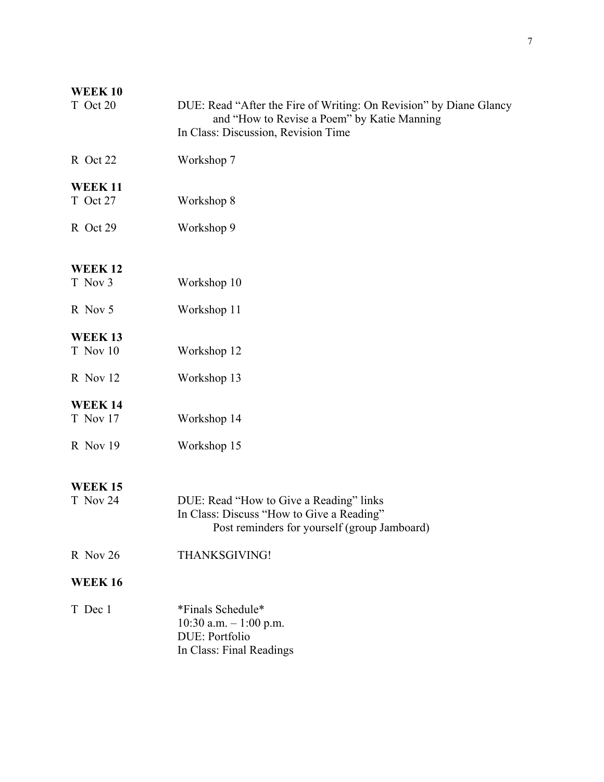| <b>WEEK10</b><br>T Oct 20              | DUE: Read "After the Fire of Writing: On Revision" by Diane Glancy<br>and "How to Revise a Poem" by Katie Manning<br>In Class: Discussion, Revision Time |
|----------------------------------------|----------------------------------------------------------------------------------------------------------------------------------------------------------|
| R Oct 22                               | Workshop 7                                                                                                                                               |
| <b>WEEK 11</b><br>T Oct 27             | Workshop 8                                                                                                                                               |
| R Oct 29                               | Workshop 9                                                                                                                                               |
| <b>WEEK12</b><br>T Nov 3               | Workshop 10                                                                                                                                              |
| R Nov 5                                | Workshop 11                                                                                                                                              |
| <b>WEEK13</b><br>T Nov 10              | Workshop 12                                                                                                                                              |
| R Nov 12                               | Workshop 13                                                                                                                                              |
| <b>WEEK 14</b><br>T Nov 17<br>R Nov 19 | Workshop 14<br>Workshop 15                                                                                                                               |
| <b>WEEK 15</b><br>T Nov 24             | DUE: Read "How to Give a Reading" links<br>In Class: Discuss "How to Give a Reading"<br>Post reminders for yourself (group Jamboard)                     |
| R Nov 26                               | THANKSGIVING!                                                                                                                                            |
| <b>WEEK16</b>                          |                                                                                                                                                          |
| T Dec 1                                | *Finals Schedule*<br>10:30 a.m. $- 1:00$ p.m.<br>DUE: Portfolio<br>In Class: Final Readings                                                              |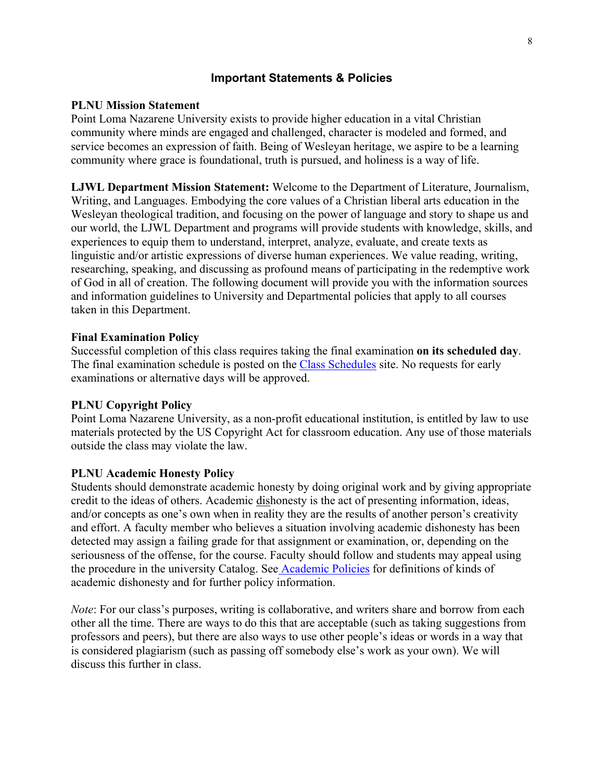# **Important Statements & Policies**

# **PLNU Mission Statement**

Point Loma Nazarene University exists to provide higher education in a vital Christian community where minds are engaged and challenged, character is modeled and formed, and service becomes an expression of faith. Being of Wesleyan heritage, we aspire to be a learning community where grace is foundational, truth is pursued, and holiness is a way of life.

**LJWL Department Mission Statement:** Welcome to the Department of Literature, Journalism, Writing, and Languages. Embodying the core values of a Christian liberal arts education in the Wesleyan theological tradition, and focusing on the power of language and story to shape us and our world, the LJWL Department and programs will provide students with knowledge, skills, and experiences to equip them to understand, interpret, analyze, evaluate, and create texts as linguistic and/or artistic expressions of diverse human experiences. We value reading, writing, researching, speaking, and discussing as profound means of participating in the redemptive work of God in all of creation. The following document will provide you with the information sources and information guidelines to University and Departmental policies that apply to all courses taken in this Department.

# **Final Examination Policy**

Successful completion of this class requires taking the final examination **on its scheduled day**. The final examination schedule is posted on the [Class Schedules](http://www.pointloma.edu/experience/academics/class-schedules) site. No requests for early examinations or alternative days will be approved.

## **PLNU Copyright Policy**

Point Loma Nazarene University, as a non-profit educational institution, is entitled by law to use materials protected by the US Copyright Act for classroom education. Any use of those materials outside the class may violate the law.

## **PLNU Academic Honesty Policy**

Students should demonstrate academic honesty by doing original work and by giving appropriate credit to the ideas of others. Academic dishonesty is the act of presenting information, ideas, and/or concepts as one's own when in reality they are the results of another person's creativity and effort. A faculty member who believes a situation involving academic dishonesty has been detected may assign a failing grade for that assignment or examination, or, depending on the seriousness of the offense, for the course. Faculty should follow and students may appeal using the procedure in the university Catalog. See [Academic Policies](http://catalog.pointloma.edu/content.php?catoid=18&navoid=1278) for definitions of kinds of academic dishonesty and for further policy information.

*Note*: For our class's purposes, writing is collaborative, and writers share and borrow from each other all the time. There are ways to do this that are acceptable (such as taking suggestions from professors and peers), but there are also ways to use other people's ideas or words in a way that is considered plagiarism (such as passing off somebody else's work as your own). We will discuss this further in class.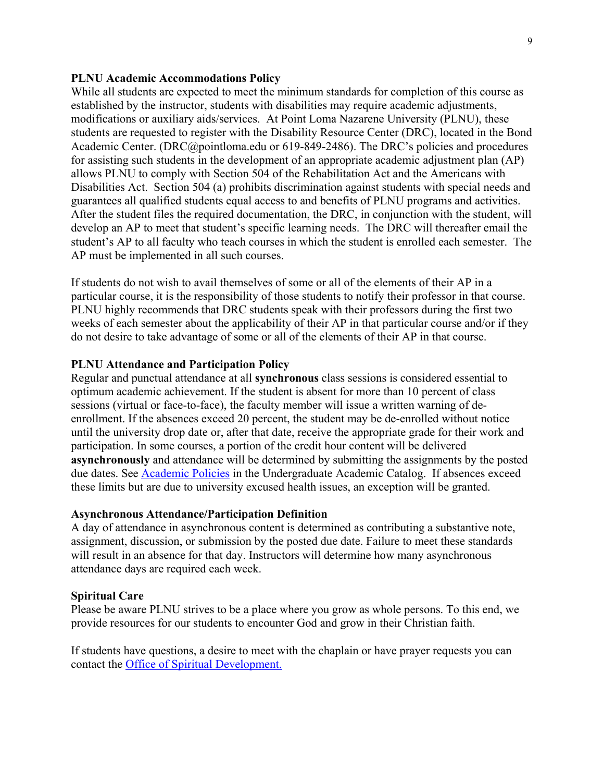# **PLNU Academic Accommodations Policy**

While all students are expected to meet the minimum standards for completion of this course as established by the instructor, students with disabilities may require academic adjustments, modifications or auxiliary aids/services. At Point Loma Nazarene University (PLNU), these students are requested to register with the Disability Resource Center (DRC), located in the Bond Academic Center. (DRC@pointloma.edu or 619-849-2486). The DRC's policies and procedures for assisting such students in the development of an appropriate academic adjustment plan (AP) allows PLNU to comply with Section 504 of the Rehabilitation Act and the Americans with Disabilities Act. Section 504 (a) prohibits discrimination against students with special needs and guarantees all qualified students equal access to and benefits of PLNU programs and activities. After the student files the required documentation, the DRC, in conjunction with the student, will develop an AP to meet that student's specific learning needs. The DRC will thereafter email the student's AP to all faculty who teach courses in which the student is enrolled each semester. The AP must be implemented in all such courses.

If students do not wish to avail themselves of some or all of the elements of their AP in a particular course, it is the responsibility of those students to notify their professor in that course. PLNU highly recommends that DRC students speak with their professors during the first two weeks of each semester about the applicability of their AP in that particular course and/or if they do not desire to take advantage of some or all of the elements of their AP in that course.

#### **PLNU Attendance and Participation Policy**

Regular and punctual attendance at all **synchronous** class sessions is considered essential to optimum academic achievement. If the student is absent for more than 10 percent of class sessions (virtual or face-to-face), the faculty member will issue a written warning of deenrollment. If the absences exceed 20 percent, the student may be de-enrolled without notice until the university drop date or, after that date, receive the appropriate grade for their work and participation. In some courses, a portion of the credit hour content will be delivered **asynchronously** and attendance will be determined by submitting the assignments by the posted due dates. See [Academic Policies](https://catalog.pointloma.edu/content.php?catoid=46&navoid=2650#Class_Attendance) in the Undergraduate Academic Catalog. If absences exceed these limits but are due to university excused health issues, an exception will be granted.

#### **Asynchronous Attendance/Participation Definition**

A day of attendance in asynchronous content is determined as contributing a substantive note, assignment, discussion, or submission by the posted due date. Failure to meet these standards will result in an absence for that day. Instructors will determine how many asynchronous attendance days are required each week.

#### **Spiritual Care**

Please be aware PLNU strives to be a place where you grow as whole persons. To this end, we provide resources for our students to encounter God and grow in their Christian faith.

If students have questions, a desire to meet with the chaplain or have prayer requests you can contact the [Office of Spiritual Development.](https://www.pointloma.edu/offices/spiritual-development)